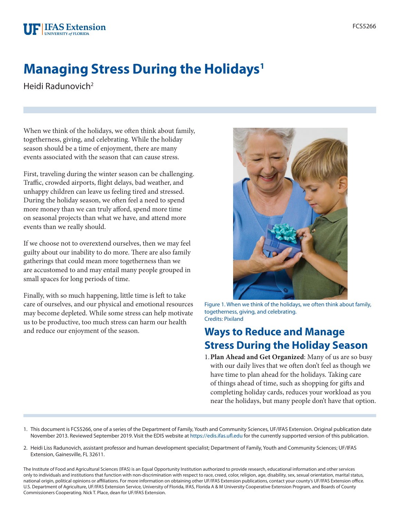# **Managing Stress During the Holidays1**

Heidi Radunovich<sup>2</sup>

When we think of the holidays, we often think about family, togetherness, giving, and celebrating. While the holiday season should be a time of enjoyment, there are many events associated with the season that can cause stress.

First, traveling during the winter season can be challenging. Traffic, crowded airports, flight delays, bad weather, and unhappy children can leave us feeling tired and stressed. During the holiday season, we often feel a need to spend more money than we can truly afford, spend more time on seasonal projects than what we have, and attend more events than we really should.

If we choose not to overextend ourselves, then we may feel guilty about our inability to do more. There are also family gatherings that could mean more togetherness than we are accustomed to and may entail many people grouped in small spaces for long periods of time.

Finally, with so much happening, little time is left to take care of ourselves, and our physical and emotional resources may become depleted. While some stress can help motivate us to be productive, too much stress can harm our health



Figure 1. When we think of the holidays, we often think about family, togetherness, giving, and celebrating. Credits: Pixiland

### and reduce our enjoyment of the season. **Ways to Reduce and Manage Stress During the Holiday Season**

- 1.**Plan Ahead and Get Organized**: Many of us are so busy with our daily lives that we often don't feel as though we have time to plan ahead for the holidays. Taking care of things ahead of time, such as shopping for gifts and completing holiday cards, reduces your workload as you near the holidays, but many people don't have that option.
- 1. This document is FCS5266, one of a series of the Department of Family, Youth and Community Sciences, UF/IFAS Extension. Original publication date November 2013. Reviewed September 2019. Visit the EDIS website at<https://edis.ifas.ufl.edu>for the currently supported version of this publication.
- 2. Heidi Liss Radunovich, assistant professor and human development specialist; Department of Family, Youth and Community Sciences; UF/IFAS Extension, Gainesville, FL 32611.

The Institute of Food and Agricultural Sciences (IFAS) is an Equal Opportunity Institution authorized to provide research, educational information and other services only to individuals and institutions that function with non-discrimination with respect to race, creed, color, religion, age, disability, sex, sexual orientation, marital status, national origin, political opinions or affiliations. For more information on obtaining other UF/IFAS Extension publications, contact your county's UF/IFAS Extension office. U.S. Department of Agriculture, UF/IFAS Extension Service, University of Florida, IFAS, Florida A & M University Cooperative Extension Program, and Boards of County Commissioners Cooperating. Nick T. Place, dean for UF/IFAS Extension.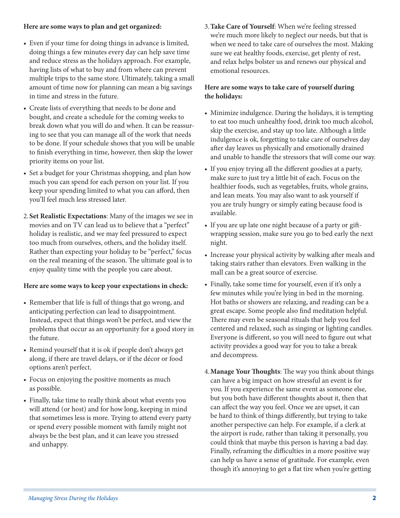#### **Here are some ways to plan and get organized:**

- Even if your time for doing things in advance is limited, doing things a few minutes every day can help save time and reduce stress as the holidays approach. For example, having lists of what to buy and from where can prevent multiple trips to the same store. Ultimately, taking a small amount of time now for planning can mean a big savings in time and stress in the future.
- Create lists of everything that needs to be done and bought, and create a schedule for the coming weeks to break down what you will do and when. It can be reassuring to see that you can manage all of the work that needs to be done. If your schedule shows that you will be unable to finish everything in time, however, then skip the lower priority items on your list.
- Set a budget for your Christmas shopping, and plan how much you can spend for each person on your list. If you keep your spending limited to what you can afford, then you'll feel much less stressed later.
- 2.**Set Realistic Expectations**: Many of the images we see in movies and on TV can lead us to believe that a "perfect" holiday is realistic, and we may feel pressured to expect too much from ourselves, others, and the holiday itself. Rather than expecting your holiday to be "perfect," focus on the real meaning of the season. The ultimate goal is to enjoy quality time with the people you care about.

#### **Here are some ways to keep your expectations in check:**

- Remember that life is full of things that go wrong, and anticipating perfection can lead to disappointment. Instead, expect that things won't be perfect, and view the problems that occur as an opportunity for a good story in the future.
- Remind yourself that it is ok if people don't always get along, if there are travel delays, or if the décor or food options aren't perfect.
- Focus on enjoying the positive moments as much as possible.
- Finally, take time to really think about what events you will attend (or host) and for how long, keeping in mind that sometimes less is more. Trying to attend every party or spend every possible moment with family might not always be the best plan, and it can leave you stressed and unhappy.

3.**Take Care of Yourself**: When we're feeling stressed we're much more likely to neglect our needs, but that is when we need to take care of ourselves the most. Making sure we eat healthy foods, exercise, get plenty of rest, and relax helps bolster us and renews our physical and emotional resources.

#### **Here are some ways to take care of yourself during the holidays:**

- Minimize indulgence. During the holidays, it is tempting to eat too much unhealthy food, drink too much alcohol, skip the exercise, and stay up too late. Although a little indulgence is ok, forgetting to take care of ourselves day after day leaves us physically and emotionally drained and unable to handle the stressors that will come our way.
- If you enjoy trying all the different goodies at a party, make sure to just try a little bit of each. Focus on the healthier foods, such as vegetables, fruits, whole grains, and lean meats. You may also want to ask yourself if you are truly hungry or simply eating because food is available.
- If you are up late one night because of a party or giftwrapping session, make sure you go to bed early the next night.
- Increase your physical activity by walking after meals and taking stairs rather than elevators. Even walking in the mall can be a great source of exercise.
- Finally, take some time for yourself, even if it's only a few minutes while you're lying in bed in the morning. Hot baths or showers are relaxing, and reading can be a great escape. Some people also find meditation helpful. There may even be seasonal rituals that help you feel centered and relaxed, such as singing or lighting candles. Everyone is different, so you will need to figure out what activity provides a good way for you to take a break and decompress.
- 4.**Manage Your Thoughts**: The way you think about things can have a big impact on how stressful an event is for you. If you experience the same event as someone else, but you both have different thoughts about it, then that can affect the way you feel. Once we are upset, it can be hard to think of things differently, but trying to take another perspective can help. For example, if a clerk at the airport is rude, rather than taking it personally, you could think that maybe this person is having a bad day. Finally, reframing the difficulties in a more positive way can help us have a sense of gratitude. For example, even though it's annoying to get a flat tire when you're getting